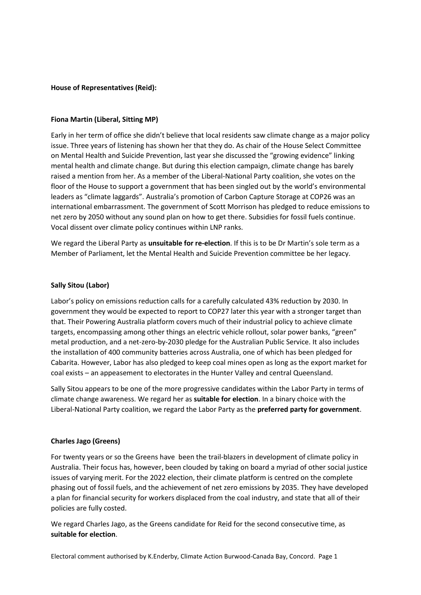### **House of Representatives (Reid):**

#### **Fiona Martin (Liberal, Sitting MP)**

Early in her term of office she didn't believe that local residents saw climate change as a major policy issue. Three years of listening has shown her that they do. As chair of the House Select Committee on Mental Health and Suicide Prevention, last year she discussed the "growing evidence" linking mental health and climate change. But during this election campaign, climate change has barely raised a mention from her. As a member of the Liberal-National Party coalition, she votes on the floor of the House to support a government that has been singled out by the world's environmental leaders as "climate laggards". Australia's promotion of Carbon Capture Storage at COP26 was an international embarrassment. The government of Scott Morrison has pledged to reduce emissions to net zero by 2050 without any sound plan on how to get there. Subsidies for fossil fuels continue. Vocal dissent over climate policy continues within LNP ranks.

We regard the Liberal Party as **unsuitable for re-election**. If this is to be Dr Martin's sole term as a Member of Parliament, let the Mental Health and Suicide Prevention committee be her legacy.

#### **Sally Sitou (Labor)**

Labor's policy on emissions reduction calls for a carefully calculated 43% reduction by 2030. In government they would be expected to report to COP27 later this year with a stronger target than that. Their Powering Australia platform covers much of their industrial policy to achieve climate targets, encompassing among other things an electric vehicle rollout, solar power banks, "green" metal production, and a net-zero-by-2030 pledge for the Australian Public Service. It also includes the installation of 400 community batteries across Australia, one of which has been pledged for Cabarita. However, Labor has also pledged to keep coal mines open as long as the export market for coal exists – an appeasement to electorates in the Hunter Valley and central Queensland.

Sally Sitou appears to be one of the more progressive candidates within the Labor Party in terms of climate change awareness. We regard her as **suitable for election**. In a binary choice with the Liberal-National Party coalition, we regard the Labor Party as the **preferred party for government**.

### **Charles Jago (Greens)**

For twenty years or so the Greens have been the trail-blazers in development of climate policy in Australia. Their focus has, however, been clouded by taking on board a myriad of other social justice issues of varying merit. For the 2022 election, their climate platform is centred on the complete phasing out of fossil fuels, and the achievement of net zero emissions by 2035. They have developed a plan for financial security for workers displaced from the coal industry, and state that all of their policies are fully costed.

We regard Charles Jago, as the Greens candidate for Reid for the second consecutive time, as **suitable for election**.

Electoral comment authorised by K.Enderby, Climate Action Burwood-Canada Bay, Concord. Page 1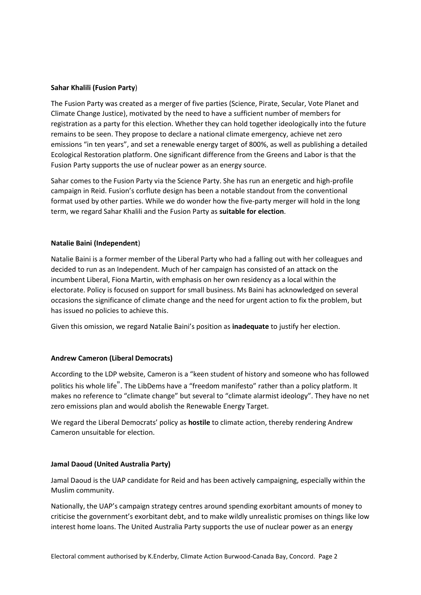### **Sahar Khalili (Fusion Party**)

The Fusion Party was created as a merger of five parties (Science, Pirate, Secular, Vote Planet and Climate Change Justice), motivated by the need to have a sufficient number of members for registration as a party for this election. Whether they can hold together ideologically into the future remains to be seen. They propose to declare a national climate emergency, achieve net zero emissions "in ten years", and set a renewable energy target of 800%, as well as publishing a detailed Ecological Restoration platform. One significant difference from the Greens and Labor is that the Fusion Party supports the use of nuclear power as an energy source.

Sahar comes to the Fusion Party via the Science Party. She has run an energetic and high-profile campaign in Reid. Fusion's corflute design has been a notable standout from the conventional format used by other parties. While we do wonder how the five-party merger will hold in the long term, we regard Sahar Khalili and the Fusion Party as **suitable for election**.

## **Natalie Baini (Independent**)

Natalie Baini is a former member of the Liberal Party who had a falling out with her colleagues and decided to run as an Independent. Much of her campaign has consisted of an attack on the incumbent Liberal, Fiona Martin, with emphasis on her own residency as a local within the electorate. Policy is focused on support for small business. Ms Baini has acknowledged on several occasions the significance of climate change and the need for urgent action to fix the problem, but has issued no policies to achieve this.

Given this omission, we regard Natalie Baini's position as **inadequate** to justify her election.

# **Andrew Cameron (Liberal Democrats)**

According to the LDP website, Cameron is a "keen student of history and someone who has followed politics his whole life". The LibDems have a "freedom manifesto" rather than a policy platform. It makes no reference to "climate change" but several to "climate alarmist ideology". They have no net zero emissions plan and would abolish the Renewable Energy Target.

We regard the Liberal Democrats' policy as **hostile** to climate action, thereby rendering Andrew Cameron unsuitable for election.

# **Jamal Daoud (United Australia Party)**

Jamal Daoud is the UAP candidate for Reid and has been actively campaigning, especially within the Muslim community.

Nationally, the UAP's campaign strategy centres around spending exorbitant amounts of money to criticise the government's exorbitant debt, and to make wildly unrealistic promises on things like low interest home loans. The United Australia Party supports the use of nuclear power as an energy